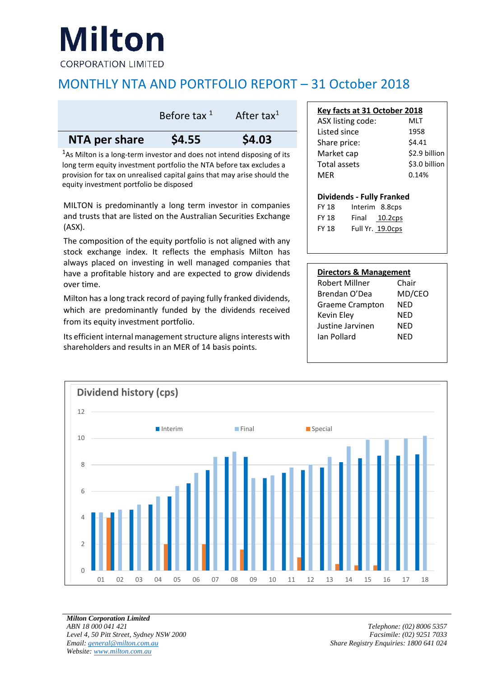# Milton

**CORPORATION LIMITED** 

## MONTHLY NTA AND PORTFOLIO REPORT – 31 October 2018

|               | Before tax $1$ | After tax <sup>1</sup> |  |
|---------------|----------------|------------------------|--|
| NTA per share | \$4.55         | \$4.03                 |  |

<sup>1</sup>As Milton is a long-term investor and does not intend disposing of its long term equity investment portfolio the NTA before tax excludes a provision for tax on unrealised capital gains that may arise should the equity investment portfolio be disposed

MILTON is predominantly a long term investor in companies and trusts that are listed on the Australian Securities Exchange (ASX).

The composition of the equity portfolio is not aligned with any stock exchange index. It reflects the emphasis Milton has always placed on investing in well managed companies that have a profitable history and are expected to grow dividends over time.

Milton has a long track record of paying fully franked dividends, which are predominantly funded by the dividends received from its equity investment portfolio.

Its efficient internal management structure aligns interests with shareholders and results in an MER of 14 basis points.

| Key facts at 31 October 2018 |               |  |  |  |  |
|------------------------------|---------------|--|--|--|--|
| ASX listing code:            | MLT           |  |  |  |  |
| Listed since                 | 1958          |  |  |  |  |
| Share price:                 | \$4.41        |  |  |  |  |
| Market cap                   | \$2.9 billion |  |  |  |  |
| Total assets                 | \$3.0 billion |  |  |  |  |
| MFR                          | 0.14%         |  |  |  |  |
|                              |               |  |  |  |  |

#### **Dividends - Fully Franked**

FY 18 Interim 8.8cps FY 18 Final 10.2cps FY 18 Full Yr. 19.0cps

|  | <b>Directors &amp; Management</b> |
|--|-----------------------------------|
|  |                                   |

| <b>Robert Millner</b>  | Chair  |  |
|------------------------|--------|--|
| Brendan O'Dea          | MD/CEO |  |
| <b>Graeme Crampton</b> | NED    |  |
| Kevin Eley             | NED    |  |
| Justine Jarvinen       | NED    |  |
| Ian Pollard            | NFD    |  |
|                        |        |  |